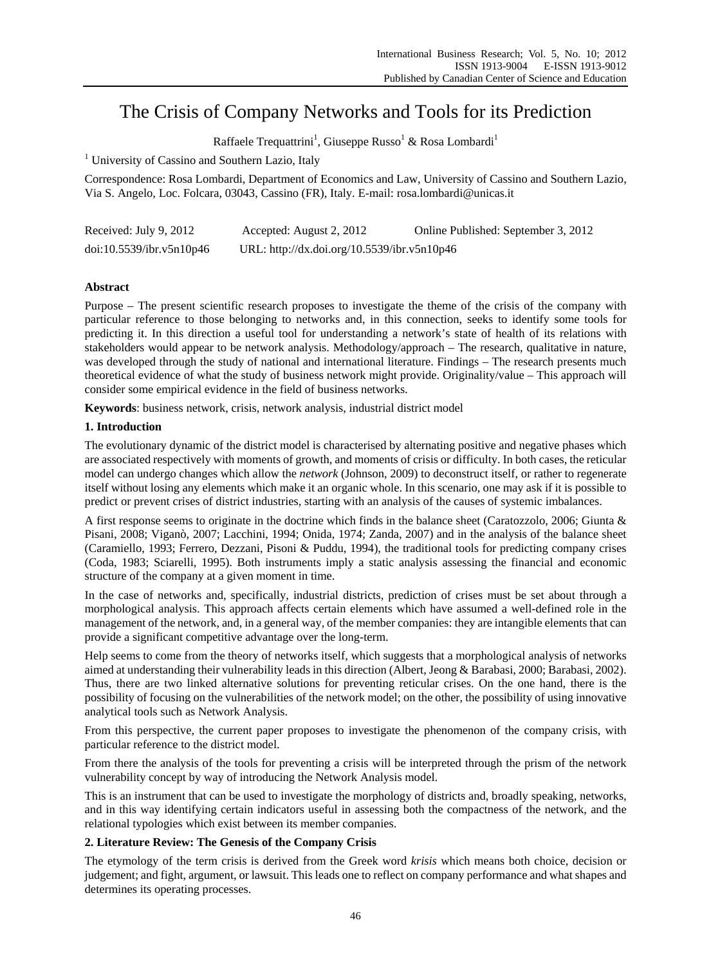# The Crisis of Company Networks and Tools for its Prediction

Raffaele Trequattrini<sup>1</sup>, Giuseppe Russo<sup>1</sup> & Rosa Lombardi<sup>1</sup>

<sup>1</sup> University of Cassino and Southern Lazio, Italy

Correspondence: Rosa Lombardi, Department of Economics and Law, University of Cassino and Southern Lazio, Via S. Angelo, Loc. Folcara, 03043, Cassino (FR), Italy. E-mail: rosa.lombardi@unicas.it

| Received: July 9, 2012   | Accepted: August 2, 2012                    | Online Published: September 3, 2012 |
|--------------------------|---------------------------------------------|-------------------------------------|
| doi:10.5539/ibr.v5n10p46 | URL: http://dx.doi.org/10.5539/ibr.v5n10p46 |                                     |

# **Abstract**

Purpose – The present scientific research proposes to investigate the theme of the crisis of the company with particular reference to those belonging to networks and, in this connection, seeks to identify some tools for predicting it. In this direction a useful tool for understanding a network's state of health of its relations with stakeholders would appear to be network analysis. Methodology/approach – The research, qualitative in nature, was developed through the study of national and international literature. Findings – The research presents much theoretical evidence of what the study of business network might provide. Originality/value – This approach will consider some empirical evidence in the field of business networks.

**Keywords**: business network, crisis, network analysis, industrial district model

# **1. Introduction**

The evolutionary dynamic of the district model is characterised by alternating positive and negative phases which are associated respectively with moments of growth, and moments of crisis or difficulty. In both cases, the reticular model can undergo changes which allow the *network* (Johnson, 2009) to deconstruct itself, or rather to regenerate itself without losing any elements which make it an organic whole. In this scenario, one may ask if it is possible to predict or prevent crises of district industries, starting with an analysis of the causes of systemic imbalances.

A first response seems to originate in the doctrine which finds in the balance sheet (Caratozzolo, 2006; Giunta & Pisani, 2008; Viganò, 2007; Lacchini, 1994; Onida, 1974; Zanda, 2007) and in the analysis of the balance sheet (Caramiello, 1993; Ferrero, Dezzani, Pisoni & Puddu, 1994), the traditional tools for predicting company crises (Coda, 1983; Sciarelli, 1995). Both instruments imply a static analysis assessing the financial and economic structure of the company at a given moment in time.

In the case of networks and, specifically, industrial districts, prediction of crises must be set about through a morphological analysis. This approach affects certain elements which have assumed a well-defined role in the management of the network, and, in a general way, of the member companies: they are intangible elements that can provide a significant competitive advantage over the long-term.

Help seems to come from the theory of networks itself, which suggests that a morphological analysis of networks aimed at understanding their vulnerability leads in this direction (Albert, Jeong & Barabasi, 2000; Barabasi, 2002). Thus, there are two linked alternative solutions for preventing reticular crises. On the one hand, there is the possibility of focusing on the vulnerabilities of the network model; on the other, the possibility of using innovative analytical tools such as Network Analysis.

From this perspective, the current paper proposes to investigate the phenomenon of the company crisis, with particular reference to the district model.

From there the analysis of the tools for preventing a crisis will be interpreted through the prism of the network vulnerability concept by way of introducing the Network Analysis model.

This is an instrument that can be used to investigate the morphology of districts and, broadly speaking, networks, and in this way identifying certain indicators useful in assessing both the compactness of the network, and the relational typologies which exist between its member companies.

## **2. Literature Review: The Genesis of the Company Crisis**

The etymology of the term crisis is derived from the Greek word *krisis* which means both choice, decision or judgement; and fight, argument, or lawsuit. This leads one to reflect on company performance and what shapes and determines its operating processes.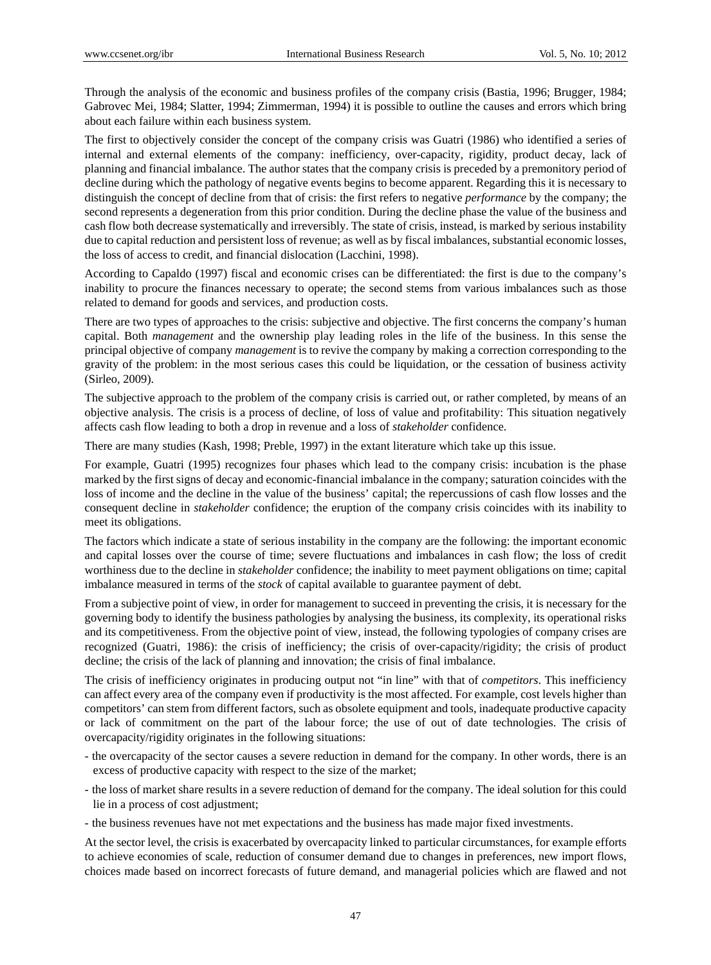Through the analysis of the economic and business profiles of the company crisis (Bastia, 1996; Brugger, 1984; Gabrovec Mei, 1984; Slatter, 1994; Zimmerman, 1994) it is possible to outline the causes and errors which bring about each failure within each business system.

The first to objectively consider the concept of the company crisis was Guatri (1986) who identified a series of internal and external elements of the company: inefficiency, over-capacity, rigidity, product decay, lack of planning and financial imbalance. The author states that the company crisis is preceded by a premonitory period of decline during which the pathology of negative events begins to become apparent. Regarding this it is necessary to distinguish the concept of decline from that of crisis: the first refers to negative *performance* by the company; the second represents a degeneration from this prior condition. During the decline phase the value of the business and cash flow both decrease systematically and irreversibly. The state of crisis, instead, is marked by serious instability due to capital reduction and persistent loss of revenue; as well as by fiscal imbalances, substantial economic losses, the loss of access to credit, and financial dislocation (Lacchini, 1998).

According to Capaldo (1997) fiscal and economic crises can be differentiated: the first is due to the company's inability to procure the finances necessary to operate; the second stems from various imbalances such as those related to demand for goods and services, and production costs.

There are two types of approaches to the crisis: subjective and objective. The first concerns the company's human capital. Both *management* and the ownership play leading roles in the life of the business. In this sense the principal objective of company *management* is to revive the company by making a correction corresponding to the gravity of the problem: in the most serious cases this could be liquidation, or the cessation of business activity (Sirleo, 2009).

The subjective approach to the problem of the company crisis is carried out, or rather completed, by means of an objective analysis. The crisis is a process of decline, of loss of value and profitability: This situation negatively affects cash flow leading to both a drop in revenue and a loss of *stakeholder* confidence.

There are many studies (Kash, 1998; Preble, 1997) in the extant literature which take up this issue.

For example, Guatri (1995) recognizes four phases which lead to the company crisis: incubation is the phase marked by the first signs of decay and economic-financial imbalance in the company; saturation coincides with the loss of income and the decline in the value of the business' capital; the repercussions of cash flow losses and the consequent decline in *stakeholder* confidence; the eruption of the company crisis coincides with its inability to meet its obligations.

The factors which indicate a state of serious instability in the company are the following: the important economic and capital losses over the course of time; severe fluctuations and imbalances in cash flow; the loss of credit worthiness due to the decline in *stakeholder* confidence; the inability to meet payment obligations on time; capital imbalance measured in terms of the *stock* of capital available to guarantee payment of debt.

From a subjective point of view, in order for management to succeed in preventing the crisis, it is necessary for the governing body to identify the business pathologies by analysing the business, its complexity, its operational risks and its competitiveness. From the objective point of view, instead, the following typologies of company crises are recognized (Guatri, 1986): the crisis of inefficiency; the crisis of over-capacity/rigidity; the crisis of product decline; the crisis of the lack of planning and innovation; the crisis of final imbalance.

The crisis of inefficiency originates in producing output not "in line" with that of *competitors*. This inefficiency can affect every area of the company even if productivity is the most affected. For example, cost levels higher than competitors' can stem from different factors, such as obsolete equipment and tools, inadequate productive capacity or lack of commitment on the part of the labour force; the use of out of date technologies. The crisis of overcapacity/rigidity originates in the following situations:

- the overcapacity of the sector causes a severe reduction in demand for the company. In other words, there is an excess of productive capacity with respect to the size of the market;
- the loss of market share results in a severe reduction of demand for the company. The ideal solution for this could lie in a process of cost adjustment;
- the business revenues have not met expectations and the business has made major fixed investments.

At the sector level, the crisis is exacerbated by overcapacity linked to particular circumstances, for example efforts to achieve economies of scale, reduction of consumer demand due to changes in preferences, new import flows, choices made based on incorrect forecasts of future demand, and managerial policies which are flawed and not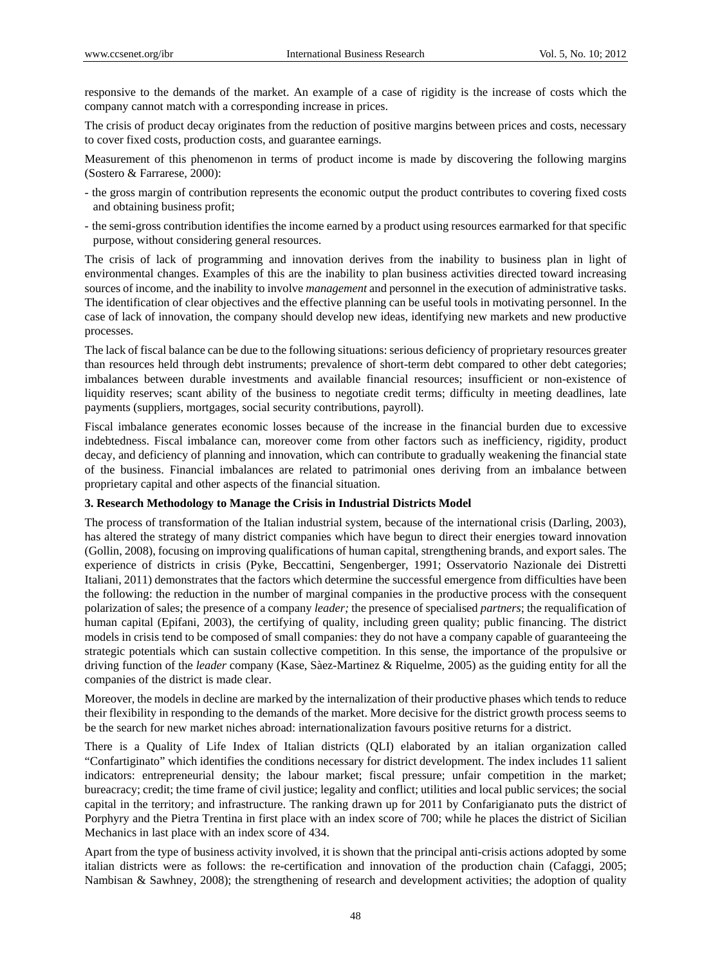responsive to the demands of the market. An example of a case of rigidity is the increase of costs which the company cannot match with a corresponding increase in prices.

The crisis of product decay originates from the reduction of positive margins between prices and costs, necessary to cover fixed costs, production costs, and guarantee earnings.

Measurement of this phenomenon in terms of product income is made by discovering the following margins (Sostero & Farrarese, 2000):

- the gross margin of contribution represents the economic output the product contributes to covering fixed costs and obtaining business profit;
- the semi-gross contribution identifies the income earned by a product using resources earmarked for that specific purpose, without considering general resources.

The crisis of lack of programming and innovation derives from the inability to business plan in light of environmental changes. Examples of this are the inability to plan business activities directed toward increasing sources of income, and the inability to involve *management* and personnel in the execution of administrative tasks. The identification of clear objectives and the effective planning can be useful tools in motivating personnel. In the case of lack of innovation, the company should develop new ideas, identifying new markets and new productive processes.

The lack of fiscal balance can be due to the following situations: serious deficiency of proprietary resources greater than resources held through debt instruments; prevalence of short-term debt compared to other debt categories; imbalances between durable investments and available financial resources; insufficient or non-existence of liquidity reserves; scant ability of the business to negotiate credit terms; difficulty in meeting deadlines, late payments (suppliers, mortgages, social security contributions, payroll).

Fiscal imbalance generates economic losses because of the increase in the financial burden due to excessive indebtedness. Fiscal imbalance can, moreover come from other factors such as inefficiency, rigidity, product decay, and deficiency of planning and innovation, which can contribute to gradually weakening the financial state of the business. Financial imbalances are related to patrimonial ones deriving from an imbalance between proprietary capital and other aspects of the financial situation.

### **3. Research Methodology to Manage the Crisis in Industrial Districts Model**

The process of transformation of the Italian industrial system, because of the international crisis (Darling, 2003), has altered the strategy of many district companies which have begun to direct their energies toward innovation (Gollin, 2008), focusing on improving qualifications of human capital, strengthening brands, and export sales. The experience of districts in crisis (Pyke, Beccattini, Sengenberger, 1991; Osservatorio Nazionale dei Distretti Italiani, 2011) demonstrates that the factors which determine the successful emergence from difficulties have been the following: the reduction in the number of marginal companies in the productive process with the consequent polarization of sales; the presence of a company *leader;* the presence of specialised *partners*; the requalification of human capital (Epifani, 2003), the certifying of quality, including green quality; public financing. The district models in crisis tend to be composed of small companies: they do not have a company capable of guaranteeing the strategic potentials which can sustain collective competition. In this sense, the importance of the propulsive or driving function of the *leader* company (Kase, Sàez-Martinez & Riquelme, 2005) as the guiding entity for all the companies of the district is made clear.

Moreover, the models in decline are marked by the internalization of their productive phases which tends to reduce their flexibility in responding to the demands of the market. More decisive for the district growth process seems to be the search for new market niches abroad: internationalization favours positive returns for a district.

There is a Quality of Life Index of Italian districts (QLI) elaborated by an italian organization called "Confartiginato" which identifies the conditions necessary for district development. The index includes 11 salient indicators: entrepreneurial density; the labour market; fiscal pressure; unfair competition in the market; bureacracy; credit; the time frame of civil justice; legality and conflict; utilities and local public services; the social capital in the territory; and infrastructure. The ranking drawn up for 2011 by Confarigianato puts the district of Porphyry and the Pietra Trentina in first place with an index score of 700; while he places the district of Sicilian Mechanics in last place with an index score of 434.

Apart from the type of business activity involved, it is shown that the principal anti-crisis actions adopted by some italian districts were as follows: the re-certification and innovation of the production chain (Cafaggi, 2005; Nambisan & Sawhney, 2008); the strengthening of research and development activities; the adoption of quality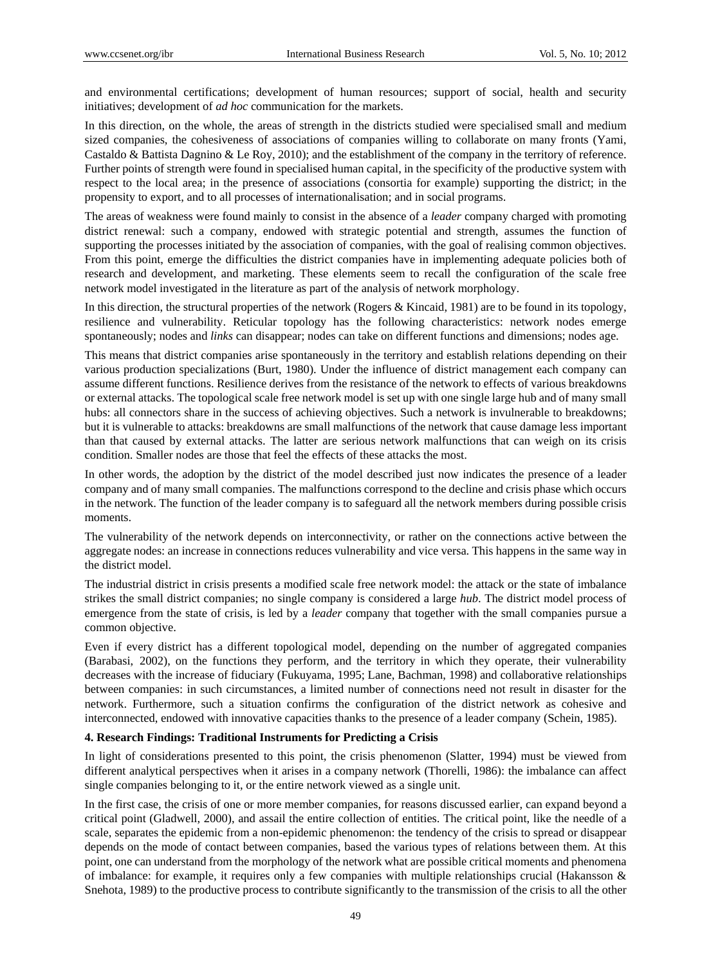and environmental certifications; development of human resources; support of social, health and security initiatives; development of *ad hoc* communication for the markets.

In this direction, on the whole, the areas of strength in the districts studied were specialised small and medium sized companies, the cohesiveness of associations of companies willing to collaborate on many fronts (Yami, Castaldo & Battista Dagnino & Le Roy, 2010); and the establishment of the company in the territory of reference. Further points of strength were found in specialised human capital, in the specificity of the productive system with respect to the local area; in the presence of associations (consortia for example) supporting the district; in the propensity to export, and to all processes of internationalisation; and in social programs.

The areas of weakness were found mainly to consist in the absence of a *leader* company charged with promoting district renewal: such a company, endowed with strategic potential and strength, assumes the function of supporting the processes initiated by the association of companies, with the goal of realising common objectives. From this point, emerge the difficulties the district companies have in implementing adequate policies both of research and development, and marketing. These elements seem to recall the configuration of the scale free network model investigated in the literature as part of the analysis of network morphology.

In this direction, the structural properties of the network (Rogers & Kincaid, 1981) are to be found in its topology, resilience and vulnerability. Reticular topology has the following characteristics: network nodes emerge spontaneously; nodes and *links* can disappear; nodes can take on different functions and dimensions; nodes age.

This means that district companies arise spontaneously in the territory and establish relations depending on their various production specializations (Burt, 1980). Under the influence of district management each company can assume different functions. Resilience derives from the resistance of the network to effects of various breakdowns or external attacks. The topological scale free network model is set up with one single large hub and of many small hubs: all connectors share in the success of achieving objectives. Such a network is invulnerable to breakdowns; but it is vulnerable to attacks: breakdowns are small malfunctions of the network that cause damage less important than that caused by external attacks. The latter are serious network malfunctions that can weigh on its crisis condition. Smaller nodes are those that feel the effects of these attacks the most.

In other words, the adoption by the district of the model described just now indicates the presence of a leader company and of many small companies. The malfunctions correspond to the decline and crisis phase which occurs in the network. The function of the leader company is to safeguard all the network members during possible crisis moments.

The vulnerability of the network depends on interconnectivity, or rather on the connections active between the aggregate nodes: an increase in connections reduces vulnerability and vice versa. This happens in the same way in the district model.

The industrial district in crisis presents a modified scale free network model: the attack or the state of imbalance strikes the small district companies; no single company is considered a large *hub*. The district model process of emergence from the state of crisis, is led by a *leader* company that together with the small companies pursue a common objective.

Even if every district has a different topological model, depending on the number of aggregated companies (Barabasi, 2002), on the functions they perform, and the territory in which they operate, their vulnerability decreases with the increase of fiduciary (Fukuyama, 1995; Lane, Bachman, 1998) and collaborative relationships between companies: in such circumstances, a limited number of connections need not result in disaster for the network. Furthermore, such a situation confirms the configuration of the district network as cohesive and interconnected, endowed with innovative capacities thanks to the presence of a leader company (Schein, 1985).

#### **4. Research Findings: Traditional Instruments for Predicting a Crisis**

In light of considerations presented to this point, the crisis phenomenon (Slatter, 1994) must be viewed from different analytical perspectives when it arises in a company network (Thorelli, 1986): the imbalance can affect single companies belonging to it, or the entire network viewed as a single unit.

In the first case, the crisis of one or more member companies, for reasons discussed earlier, can expand beyond a critical point (Gladwell, 2000), and assail the entire collection of entities. The critical point, like the needle of a scale, separates the epidemic from a non-epidemic phenomenon: the tendency of the crisis to spread or disappear depends on the mode of contact between companies, based the various types of relations between them. At this point, one can understand from the morphology of the network what are possible critical moments and phenomena of imbalance: for example, it requires only a few companies with multiple relationships crucial (Hakansson & Snehota, 1989) to the productive process to contribute significantly to the transmission of the crisis to all the other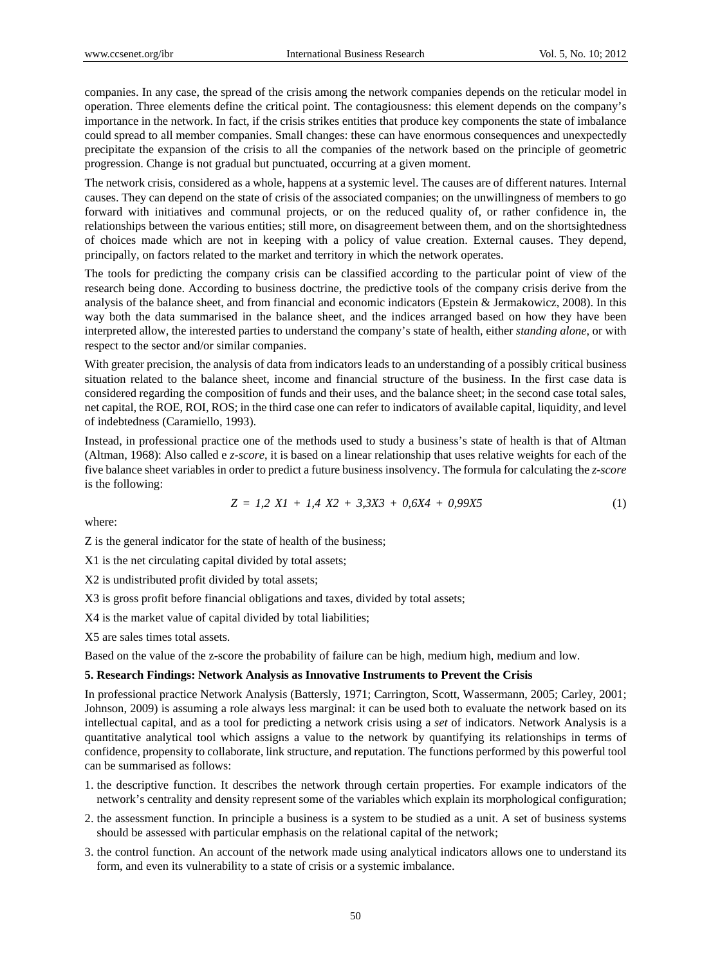companies. In any case, the spread of the crisis among the network companies depends on the reticular model in operation. Three elements define the critical point. The contagiousness: this element depends on the company's importance in the network. In fact, if the crisis strikes entities that produce key components the state of imbalance could spread to all member companies. Small changes: these can have enormous consequences and unexpectedly precipitate the expansion of the crisis to all the companies of the network based on the principle of geometric progression. Change is not gradual but punctuated, occurring at a given moment.

The network crisis, considered as a whole, happens at a systemic level. The causes are of different natures. Internal causes. They can depend on the state of crisis of the associated companies; on the unwillingness of members to go forward with initiatives and communal projects, or on the reduced quality of, or rather confidence in, the relationships between the various entities; still more, on disagreement between them, and on the shortsightedness of choices made which are not in keeping with a policy of value creation. External causes. They depend, principally, on factors related to the market and territory in which the network operates.

The tools for predicting the company crisis can be classified according to the particular point of view of the research being done. According to business doctrine, the predictive tools of the company crisis derive from the analysis of the balance sheet, and from financial and economic indicators (Epstein & Jermakowicz, 2008). In this way both the data summarised in the balance sheet, and the indices arranged based on how they have been interpreted allow, the interested parties to understand the company's state of health, either *standing alone*, or with respect to the sector and/or similar companies.

With greater precision, the analysis of data from indicators leads to an understanding of a possibly critical business situation related to the balance sheet, income and financial structure of the business. In the first case data is considered regarding the composition of funds and their uses, and the balance sheet; in the second case total sales, net capital, the ROE, ROI, ROS; in the third case one can refer to indicators of available capital, liquidity, and level of indebtedness (Caramiello, 1993).

Instead, in professional practice one of the methods used to study a business's state of health is that of Altman (Altman, 1968): Also called e *z-score*, it is based on a linear relationship that uses relative weights for each of the five balance sheet variables in order to predict a future business insolvency. The formula for calculating the *z-score* is the following:

$$
Z = 1,2 XI + 1,4 X2 + 3,3X3 + 0,6X4 + 0,99X5 \tag{1}
$$

where:

Z is the general indicator for the state of health of the business;

X1 is the net circulating capital divided by total assets;

X2 is undistributed profit divided by total assets;

X3 is gross profit before financial obligations and taxes, divided by total assets;

X4 is the market value of capital divided by total liabilities;

X5 are sales times total assets.

Based on the value of the z-score the probability of failure can be high, medium high, medium and low.

#### **5. Research Findings: Network Analysis as Innovative Instruments to Prevent the Crisis**

In professional practice Network Analysis (Battersly, 1971; Carrington, Scott, Wassermann, 2005; Carley, 2001; Johnson, 2009) is assuming a role always less marginal: it can be used both to evaluate the network based on its intellectual capital, and as a tool for predicting a network crisis using a *set* of indicators. Network Analysis is a quantitative analytical tool which assigns a value to the network by quantifying its relationships in terms of confidence, propensity to collaborate, link structure, and reputation. The functions performed by this powerful tool can be summarised as follows:

- 1. the descriptive function. It describes the network through certain properties. For example indicators of the network's centrality and density represent some of the variables which explain its morphological configuration;
- 2. the assessment function. In principle a business is a system to be studied as a unit. A set of business systems should be assessed with particular emphasis on the relational capital of the network;
- 3. the control function. An account of the network made using analytical indicators allows one to understand its form, and even its vulnerability to a state of crisis or a systemic imbalance.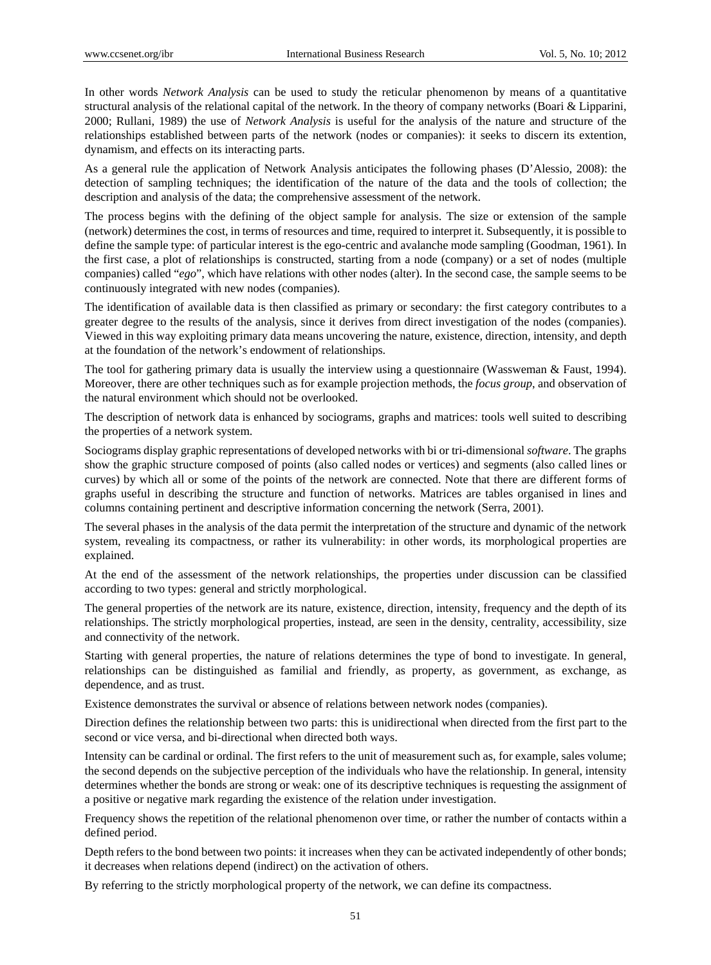In other words *Network Analysis* can be used to study the reticular phenomenon by means of a quantitative structural analysis of the relational capital of the network. In the theory of company networks (Boari & Lipparini, 2000; Rullani, 1989) the use of *Network Analysis* is useful for the analysis of the nature and structure of the relationships established between parts of the network (nodes or companies): it seeks to discern its extention, dynamism, and effects on its interacting parts.

As a general rule the application of Network Analysis anticipates the following phases (D'Alessio, 2008): the detection of sampling techniques; the identification of the nature of the data and the tools of collection; the description and analysis of the data; the comprehensive assessment of the network.

The process begins with the defining of the object sample for analysis. The size or extension of the sample (network) determines the cost, in terms of resources and time, required to interpret it. Subsequently, it is possible to define the sample type: of particular interest is the ego-centric and avalanche mode sampling (Goodman, 1961). In the first case, a plot of relationships is constructed, starting from a node (company) or a set of nodes (multiple companies) called "*ego*", which have relations with other nodes (alter). In the second case, the sample seems to be continuously integrated with new nodes (companies).

The identification of available data is then classified as primary or secondary: the first category contributes to a greater degree to the results of the analysis, since it derives from direct investigation of the nodes (companies). Viewed in this way exploiting primary data means uncovering the nature, existence, direction, intensity, and depth at the foundation of the network's endowment of relationships.

The tool for gathering primary data is usually the interview using a questionnaire (Wassweman & Faust, 1994). Moreover, there are other techniques such as for example projection methods, the *focus group*, and observation of the natural environment which should not be overlooked.

The description of network data is enhanced by sociograms, graphs and matrices: tools well suited to describing the properties of a network system.

Sociograms display graphic representations of developed networks with bi or tri-dimensional *software*. The graphs show the graphic structure composed of points (also called nodes or vertices) and segments (also called lines or curves) by which all or some of the points of the network are connected. Note that there are different forms of graphs useful in describing the structure and function of networks. Matrices are tables organised in lines and columns containing pertinent and descriptive information concerning the network (Serra, 2001).

The several phases in the analysis of the data permit the interpretation of the structure and dynamic of the network system, revealing its compactness, or rather its vulnerability: in other words, its morphological properties are explained.

At the end of the assessment of the network relationships, the properties under discussion can be classified according to two types: general and strictly morphological.

The general properties of the network are its nature, existence, direction, intensity, frequency and the depth of its relationships. The strictly morphological properties, instead, are seen in the density, centrality, accessibility, size and connectivity of the network.

Starting with general properties, the nature of relations determines the type of bond to investigate. In general, relationships can be distinguished as familial and friendly, as property, as government, as exchange, as dependence, and as trust.

Existence demonstrates the survival or absence of relations between network nodes (companies).

Direction defines the relationship between two parts: this is unidirectional when directed from the first part to the second or vice versa, and bi-directional when directed both ways.

Intensity can be cardinal or ordinal. The first refers to the unit of measurement such as, for example, sales volume; the second depends on the subjective perception of the individuals who have the relationship. In general, intensity determines whether the bonds are strong or weak: one of its descriptive techniques is requesting the assignment of a positive or negative mark regarding the existence of the relation under investigation.

Frequency shows the repetition of the relational phenomenon over time, or rather the number of contacts within a defined period.

Depth refers to the bond between two points: it increases when they can be activated independently of other bonds; it decreases when relations depend (indirect) on the activation of others.

By referring to the strictly morphological property of the network, we can define its compactness.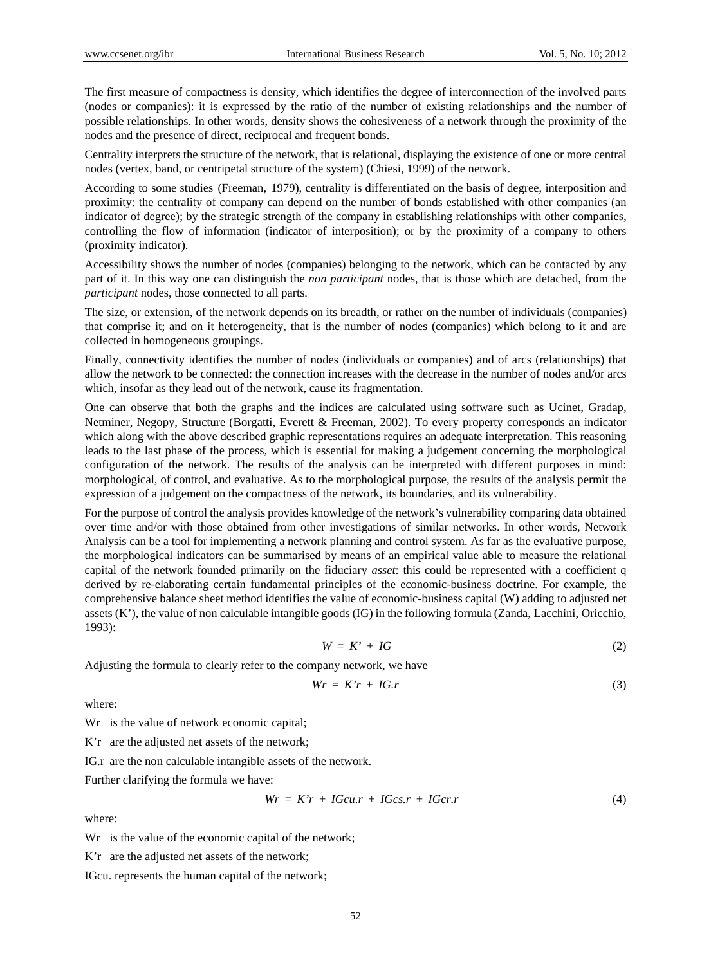The first measure of compactness is density, which identifies the degree of interconnection of the involved parts (nodes or companies): it is expressed by the ratio of the number of existing relationships and the number of possible relationships. In other words, density shows the cohesiveness of a network through the proximity of the nodes and the presence of direct, reciprocal and frequent bonds.

Centrality interprets the structure of the network, that is relational, displaying the existence of one or more central nodes (vertex, band, or centripetal structure of the system) (Chiesi, 1999) of the network.

According to some studies (Freeman, 1979), centrality is differentiated on the basis of degree, interposition and proximity: the centrality of company can depend on the number of bonds established with other companies (an indicator of degree); by the strategic strength of the company in establishing relationships with other companies, controlling the flow of information (indicator of interposition); or by the proximity of a company to others (proximity indicator).

Accessibility shows the number of nodes (companies) belonging to the network, which can be contacted by any part of it. In this way one can distinguish the *non participant* nodes, that is those which are detached, from the *participant* nodes, those connected to all parts.

The size, or extension, of the network depends on its breadth, or rather on the number of individuals (companies) that comprise it; and on it heterogeneity, that is the number of nodes (companies) which belong to it and are collected in homogeneous groupings.

Finally, connectivity identifies the number of nodes (individuals or companies) and of arcs (relationships) that allow the network to be connected: the connection increases with the decrease in the number of nodes and/or arcs which, insofar as they lead out of the network, cause its fragmentation.

One can observe that both the graphs and the indices are calculated using software such as Ucinet, Gradap, Netminer, Negopy, Structure (Borgatti, Everett & Freeman, 2002). To every property corresponds an indicator which along with the above described graphic representations requires an adequate interpretation. This reasoning leads to the last phase of the process, which is essential for making a judgement concerning the morphological configuration of the network. The results of the analysis can be interpreted with different purposes in mind: morphological, of control, and evaluative. As to the morphological purpose, the results of the analysis permit the expression of a judgement on the compactness of the network, its boundaries, and its vulnerability.

For the purpose of control the analysis provides knowledge of the network's vulnerability comparing data obtained over time and/or with those obtained from other investigations of similar networks. In other words, Network Analysis can be a tool for implementing a network planning and control system. As far as the evaluative purpose, the morphological indicators can be summarised by means of an empirical value able to measure the relational capital of the network founded primarily on the fiduciary *asset*: this could be represented with a coefficient q derived by re-elaborating certain fundamental principles of the economic-business doctrine. For example, the comprehensive balance sheet method identifies the value of economic-business capital (W) adding to adjusted net assets (K'), the value of non calculable intangible goods (IG) in the following formula (Zanda, Lacchini, Oricchio, 1993):

$$
W = K' + IG \tag{2}
$$

Adjusting the formula to clearly refer to the company network, we have

$$
Wr = K'r + IG.r \tag{3}
$$

where:

W<sub>r</sub> is the value of network economic capital;

K'r are the adjusted net assets of the network;

IG.r are the non calculable intangible assets of the network.

Further clarifying the formula we have:

$$
Wr = K'r + IGcu.r + IGcs.r + IGcr.r \tag{4}
$$

where:

Wr is the value of the economic capital of the network;

K'r are the adjusted net assets of the network;

IGcu. represents the human capital of the network;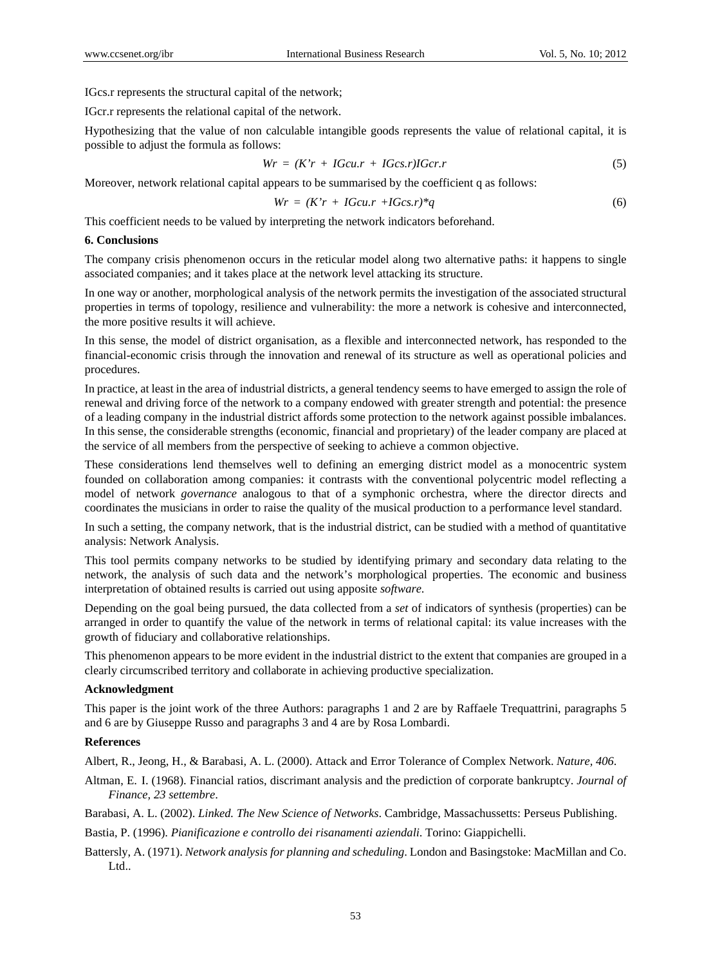IGcs.r represents the structural capital of the network;

IGcr.r represents the relational capital of the network.

Hypothesizing that the value of non calculable intangible goods represents the value of relational capital, it is possible to adjust the formula as follows:

$$
Wr = (K'r + IGcu.r + IGcs.r)IGcr.r \tag{5}
$$

Moreover, network relational capital appears to be summarised by the coefficient q as follows:

$$
Wr = (K'r + IGcu.r + IGcs.r)^*q \tag{6}
$$

This coefficient needs to be valued by interpreting the network indicators beforehand.

#### **6. Conclusions**

The company crisis phenomenon occurs in the reticular model along two alternative paths: it happens to single associated companies; and it takes place at the network level attacking its structure.

In one way or another, morphological analysis of the network permits the investigation of the associated structural properties in terms of topology, resilience and vulnerability: the more a network is cohesive and interconnected, the more positive results it will achieve.

In this sense, the model of district organisation, as a flexible and interconnected network, has responded to the financial-economic crisis through the innovation and renewal of its structure as well as operational policies and procedures.

In practice, at least in the area of industrial districts, a general tendency seems to have emerged to assign the role of renewal and driving force of the network to a company endowed with greater strength and potential: the presence of a leading company in the industrial district affords some protection to the network against possible imbalances. In this sense, the considerable strengths (economic, financial and proprietary) of the leader company are placed at the service of all members from the perspective of seeking to achieve a common objective.

These considerations lend themselves well to defining an emerging district model as a monocentric system founded on collaboration among companies: it contrasts with the conventional polycentric model reflecting a model of network *governance* analogous to that of a symphonic orchestra, where the director directs and coordinates the musicians in order to raise the quality of the musical production to a performance level standard.

In such a setting, the company network, that is the industrial district, can be studied with a method of quantitative analysis: Network Analysis.

This tool permits company networks to be studied by identifying primary and secondary data relating to the network, the analysis of such data and the network's morphological properties. The economic and business interpretation of obtained results is carried out using apposite *software*.

Depending on the goal being pursued, the data collected from a *set* of indicators of synthesis (properties) can be arranged in order to quantify the value of the network in terms of relational capital: its value increases with the growth of fiduciary and collaborative relationships.

This phenomenon appears to be more evident in the industrial district to the extent that companies are grouped in a clearly circumscribed territory and collaborate in achieving productive specialization.

#### **Acknowledgment**

This paper is the joint work of the three Authors: paragraphs 1 and 2 are by Raffaele Trequattrini, paragraphs 5 and 6 are by Giuseppe Russo and paragraphs 3 and 4 are by Rosa Lombardi.

## **References**

Albert, R., Jeong, H., & Barabasi, A. L. (2000). Attack and Error Tolerance of Complex Network. *Nature, 406*.

Altman, E. I. (1968). Financial ratios, discrimant analysis and the prediction of corporate bankruptcy. *Journal of Finance, 23 settembre*.

Barabasi, A. L. (2002). *Linked. The New Science of Networks*. Cambridge, Massachussetts: Perseus Publishing.

Bastia, P. (1996). *Pianificazione e controllo dei risanamenti aziendali*. Torino: Giappichelli.

Battersly, A. (1971). *Network analysis for planning and scheduling*. London and Basingstoke: MacMillan and Co. Ltd..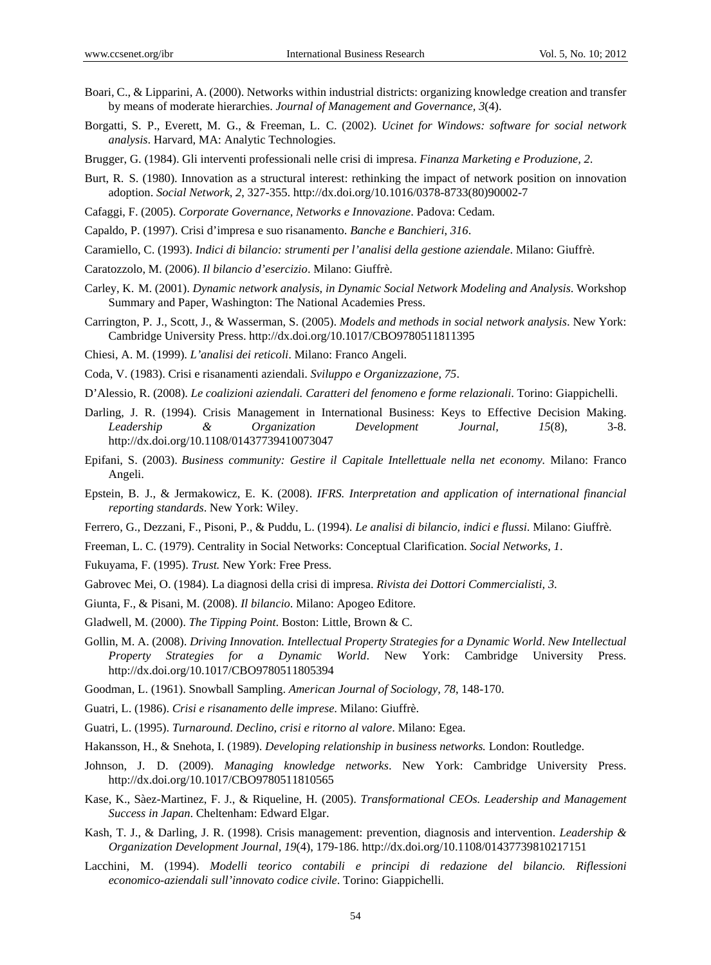- Boari, C., & Lipparini, A. (2000). Networks within industrial districts: organizing knowledge creation and transfer by means of moderate hierarchies. *Journal of Management and Governance, 3*(4).
- Borgatti, S. P., Everett, M. G., & Freeman, L. C. (2002). *Ucinet for Windows: software for social network analysis*. Harvard, MA: Analytic Technologies.
- Brugger, G. (1984). Gli interventi professionali nelle crisi di impresa. *Finanza Marketing e Produzione, 2*.
- Burt, R. S. (1980). Innovation as a structural interest: rethinking the impact of network position on innovation adoption. *Social Network*, *2*, 327-355. http://dx.doi.org/10.1016/0378-8733(80)90002-7
- Cafaggi, F. (2005). *Corporate Governance, Networks e Innovazione*. Padova: Cedam.
- Capaldo, P. (1997). Crisi d'impresa e suo risanamento. *Banche e Banchieri*, *316*.
- Caramiello, C. (1993). *Indici di bilancio: strumenti per l'analisi della gestione aziendale*. Milano: Giuffrè.
- Caratozzolo, M. (2006). *Il bilancio d'esercizio*. Milano: Giuffrè.
- Carley, K. M. (2001). *Dynamic network analysis, in Dynamic Social Network Modeling and Analysis*. Workshop Summary and Paper, Washington: The National Academies Press.
- Carrington, P. J., Scott, J., & Wasserman, S. (2005). *Models and methods in social network analysis*. New York: Cambridge University Press. http://dx.doi.org/10.1017/CBO9780511811395
- Chiesi, A. M. (1999). *L'analisi dei reticoli*. Milano: Franco Angeli.
- Coda, V. (1983). Crisi e risanamenti aziendali. *Sviluppo e Organizzazione, 75*.
- D'Alessio, R. (2008). *Le coalizioni aziendali. Caratteri del fenomeno e forme relazionali*. Torino: Giappichelli.
- Darling, J. R. (1994). Crisis Management in International Business: Keys to Effective Decision Making. *Leadership & Organization Development Journal, 15*(8), 3-8. http://dx.doi.org/10.1108/01437739410073047
- Epifani, S. (2003). *Business community: Gestire il Capitale Intellettuale nella net economy.* Milano: Franco Angeli.
- Epstein, B. J., & Jermakowicz, E. K. (2008). *IFRS. Interpretation and application of international financial reporting standards*. New York: Wiley.
- Ferrero, G., Dezzani, F., Pisoni, P., & Puddu, L. (1994). *Le analisi di bilancio, indici e flussi*. Milano: Giuffrè.
- Freeman, L. C. (1979). Centrality in Social Networks: Conceptual Clarification. *Social Networks, 1*.
- Fukuyama, F. (1995). *Trust.* New York: Free Press.
- Gabrovec Mei, O. (1984). La diagnosi della crisi di impresa. *Rivista dei Dottori Commercialisti, 3*.
- Giunta, F., & Pisani, M. (2008). *Il bilancio*. Milano: Apogeo Editore.
- Gladwell, M. (2000). *The Tipping Point*. Boston: Little, Brown & C.
- Gollin, M. A. (2008). *Driving Innovation. Intellectual Property Strategies for a Dynamic World*. *New Intellectual Property Strategies for a Dynamic World*. New York: Cambridge University Press. http://dx.doi.org/10.1017/CBO9780511805394
- Goodman, L. (1961). Snowball Sampling. *American Journal of Sociology, 78*, 148-170.
- Guatri, L. (1986). *Crisi e risanamento delle imprese*. Milano: Giuffrè.
- Guatri, L. (1995). *Turnaround. Declino, crisi e ritorno al valore*. Milano: Egea.
- Hakansson, H., & Snehota, I. (1989). *Developing relationship in business networks.* London: Routledge.
- Johnson, J. D. (2009). *Managing knowledge networks*. New York: Cambridge University Press. http://dx.doi.org/10.1017/CBO9780511810565
- Kase, K., Sàez-Martinez, F. J., & Riqueline, H. (2005). *Transformational CEOs. Leadership and Management Success in Japan*. Cheltenham: Edward Elgar.
- Kash, T. J., & Darling, J. R. (1998). Crisis management: prevention, diagnosis and intervention. *Leadership & Organization Development Journal, 19*(4), 179-186. http://dx.doi.org/10.1108/01437739810217151
- Lacchini, M. (1994). *Modelli teorico contabili e principi di redazione del bilancio. Riflessioni economico-aziendali sull'innovato codice civile*. Torino: Giappichelli.